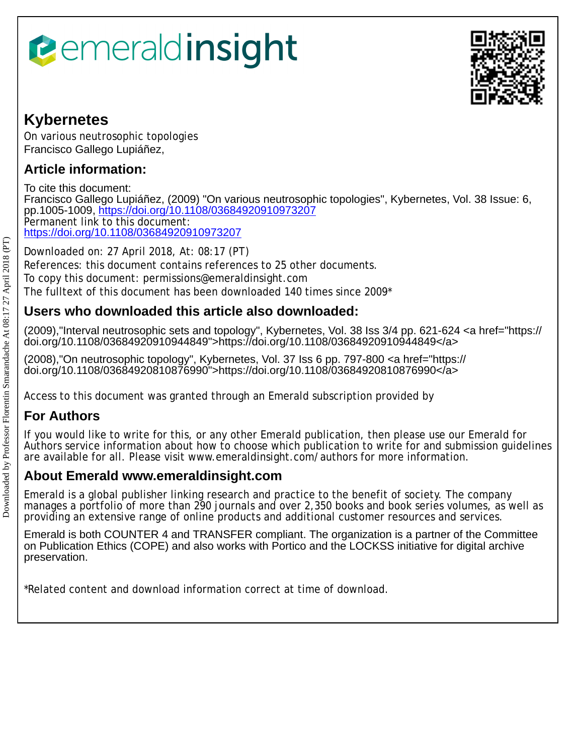# *<u><b>eemeraldinsight</u>*



## **Kybernetes**

On various neutrosophic topologies Francisco Gallego Lupiáñez,

## **Article information:**

To cite this document: Francisco Gallego Lupiáñez, (2009) "On various neutrosophic topologies", Kybernetes, Vol. 38 Issue: 6, pp.1005-1009, <https://doi.org/10.1108/03684920910973207> Permanent link to this document: <https://doi.org/10.1108/03684920910973207>

Downloaded on: 27 April 2018, At: 08:17 (PT) References: this document contains references to 25 other documents. To copy this document: permissions@emeraldinsight.com The fulltext of this document has been downloaded 140 times since 2009\*

## **Users who downloaded this article also downloaded:**

(2009),"Interval neutrosophic sets and topology", Kybernetes, Vol. 38 Iss 3/4 pp. 621-624 <a href="https:// doi.org/10.1108/03684920910944849">https://doi.org/10.1108/03684920910944849</a>

(2008),"On neutrosophic topology", Kybernetes, Vol. 37 Iss 6 pp. 797-800 <a href="https:// doi.org/10.1108/03684920810876990">https://doi.org/10.1108/03684920810876990</a>

Access to this document was granted through an Emerald subscription provided by

## **For Authors**

If you would like to write for this, or any other Emerald publication, then please use our Emerald for Authors service information about how to choose which publication to write for and submission guidelines are available for all. Please visit www.emeraldinsight.com/authors for more information.

## **About Emerald www.emeraldinsight.com**

Emerald is a global publisher linking research and practice to the benefit of society. The company manages a portfolio of more than 290 journals and over 2,350 books and book series volumes, as well as providing an extensive range of online products and additional customer resources and services.

Emerald is both COUNTER 4 and TRANSFER compliant. The organization is a partner of the Committee on Publication Ethics (COPE) and also works with Portico and the LOCKSS initiative for digital archive preservation.

\*Related content and download information correct at time of download.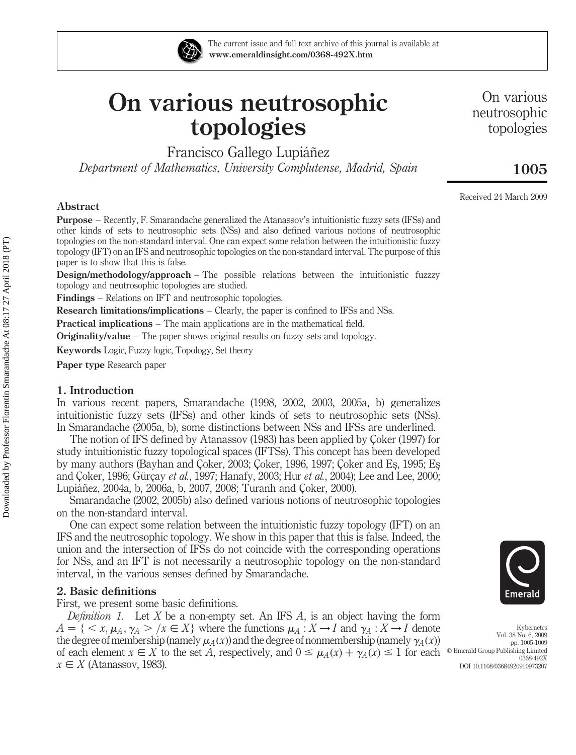

The current issue and full text archive of this journal is available at www.emeraldinsight.com/0368-492X.htm

## On various neutrosophic topologies

Francisco Gallego Lupiáñez

Department of Mathematics, University Complutense, Madrid, Spain

On various neutrosophic topologies

### 1005

Received 24 March 2009

#### Abstract

Purpose – Recently, F. Smarandache generalized the Atanassov's intuitionistic fuzzy sets (IFSs) and other kinds of sets to neutrosophic sets (NSs) and also defined various notions of neutrosophic topologies on the non-standard interval. One can expect some relation between the intuitionistic fuzzy topology (IFT) on an IFS and neutrosophic topologies on the non-standard interval. The purpose of this paper is to show that this is false.

Design/methodology/approach – The possible relations between the intuitionistic fuzzzy topology and neutrosophic topologies are studied.

Findings – Relations on IFT and neutrosophic topologies.

Research limitations/implications – Clearly, the paper is confined to IFSs and NSs.

Practical implications – The main applications are in the mathematical field.

Originality/value – The paper shows original results on fuzzy sets and topology.

Keywords Logic, Fuzzy logic, Topology, Set theory

Paper type Research paper

#### 1. Introduction

In various recent papers, Smarandache (1998, 2002, 2003, 2005a, b) generalizes intuitionistic fuzzy sets (IFSs) and other kinds of sets to neutrosophic sets (NSs). In Smarandache (2005a, b), some distinctions between NSs and IFSs are underlined.

The notion of IFS defined by Atanassov (1983) has been applied by Coker (1997) for study intuitionistic fuzzy topological spaces (IFTSs). This concept has been developed by many authors (Bayhan and Çoker, 2003; Coker, 1996, 1997; Coker and Es, 1995; Es and Çoker, 1996; Gürçay et al., 1997; Hanafy, 2003; Hur et al., 2004); Lee and Lee, 2000; Lupiáñez, 2004a, b, 2006a, b, 2007, 2008; Turanh and Çoker, 2000).

Smarandache (2002, 2005b) also defined various notions of neutrosophic topologies on the non-standard interval.

One can expect some relation between the intuitionistic fuzzy topology (IFT) on an IFS and the neutrosophic topology. We show in this paper that this is false. Indeed, the union and the intersection of IFSs do not coincide with the corresponding operations for NSs, and an IFT is not necessarily a neutrosophic topology on the non-standard interval, in the various senses defined by Smarandache.

#### 2. Basic definitions

First, we present some basic definitions.

*Definition 1.* Let X be a non-empty set. An IFS A, is an object having the form  $A = \{ \langle x, \mu_A, \gamma_A \rangle \mid x \in X \}$  where the functions  $\mu_A : X \to I$  and  $\gamma_A : X \to I$  denote the degree of membership (namely  $\mu_A(x)$ ) and the degree of nonmembership (namely  $\gamma_A(x)$ ) of each element  $x \in X$  to the set A, respectively, and  $0 \leq \mu_A(x) + \gamma_A(x) \leq 1$  for each  $x \in X$  (Atanassov, 1983).



Kybernetes Vol. 38 No. 6, 2009 pp. 1005-1009  $©$  Emerald Group Publishing Limited 0368-492X DOI 10.1108/03684920910973207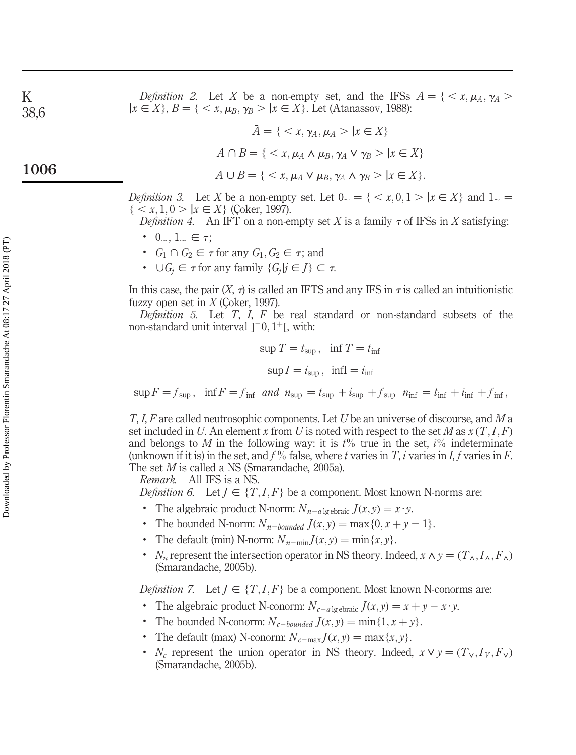*Definition 2.* Let X be a non-empty set, and the IFSs  $A = \{ \langle x, \mu_A, \gamma_A \rangle \}$  $|x \in X\}, B = \{ \langle x, \mu_B, \gamma_B \rangle | x \in X\}.$  Let (Atanassov, 1988):

$$
\bar{A} = \{ \langle x, \gamma_A, \mu_A \rangle \mid x \in X \}
$$

$$
A \cap B = \{ \langle x, \mu_A \land \mu_B, \gamma_A \lor \gamma_B \rangle \mid x \in X \}
$$

$$
A \cup B = \{ \langle x, \mu_A \vee \mu_B, \gamma_A \wedge \gamma_B \rangle \mid x \in X \}.
$$

*Definition* 3. Let X be a non-empty set. Let  $0 \leq \{ \leq x, 0, 1 \geq |x \in X \}$  and  $1 \leq \emptyset$  $\{ < x, 1, 0 > |x \in X\}$  (Coker, 1997).

*Definition 4.* An IFT on a non-empty set X is a family  $\tau$  of IFSs in X satisfying:

- $0_-, 1_+ \in \tau$ ;
- $G_1 \cap G_2 \in \tau$  for any  $G_1, G_2 \in \tau$ ; and
- $\bigcup G_i \in \tau$  for any family  $\{G_i | j \in J\} \subset \tau$ .

In this case, the pair  $(X, \tau)$  is called an IFTS and any IFS in  $\tau$  is called an intuitionistic fuzzy open set in  $X$  (Coker, 1997).

Definition 5. Let  $T$ ,  $I$ ,  $F$  be real standard or non-standard subsets of the non-standard unit interval  $]$ <sup>-</sup>0,  $1$ <sup>+</sup>[, with:

$$
\sup T = t_{\sup}, \quad \inf T = t_{\inf}
$$

$$
\sup I = i_{\sup}, \quad \inf I = i_{\inf}
$$

 $\sup F = f_{\sup}$ ,  $\inf F = f_{\inf}$  and  $n_{\sup} = t_{\sup} + i_{\sup} + f_{\sup}$   $n_{\inf} = t_{\inf} + i_{\inf} + f_{\inf}$ ,

T, I, F are called neutrosophic components. Let U be an universe of discourse, and M a set included in U. An element x from U is noted with respect to the set M as  $x(T, I, F)$ and belongs to M in the following way: it is  $t\%$  true in the set,  $i\%$  indeterminate (unknown if it is) in the set, and  $f$ % false, where t varies in T, i varies in I, f varies in F. The set M is called a NS (Smarandache, 2005a).

Remark. All IFS is a NS.

*Definition 6.* Let  $J \in \{T, I, F\}$  be a component. Most known N-norms are:

- The algebraic product N-norm:  $N_{n-a}$  lg ebraic  $J(x, y) = x \cdot y$ .
- The bounded N-norm:  $N_{n-bounded}$   $J(x, y) = \max\{0, x + y 1\}.$
- The default (min) N-norm:  $N_{n-\min} J(x, y) = \min\{x, y\}.$
- $\bullet$   $N_n$  represent the intersection operator in NS theory. Indeed,  $x \wedge y = (T_\wedge, I_\wedge, F_\wedge)$ (Smarandache, 2005b).

*Definition 7.* Let  $J \in \{T, I, F\}$  be a component. Most known N-conorms are:

- The algebraic product N-conorm:  $N_{c-a}$ <sub>lg ebraic</sub>  $J(x, y) = x + y x \cdot y$ .
- The bounded N-conorm:  $N_{c-bounded} J(x, y) = \min\{1, x + y\}.$
- The default (max) N-conorm:  $N_{c-\text{max}} J(x, y) = \text{max}\{x, y\}.$
- $N_c$  represent the union operator in NS theory. Indeed,  $x \vee y = (T_v, I_v, F_v)$ (Smarandache, 2005b).

1006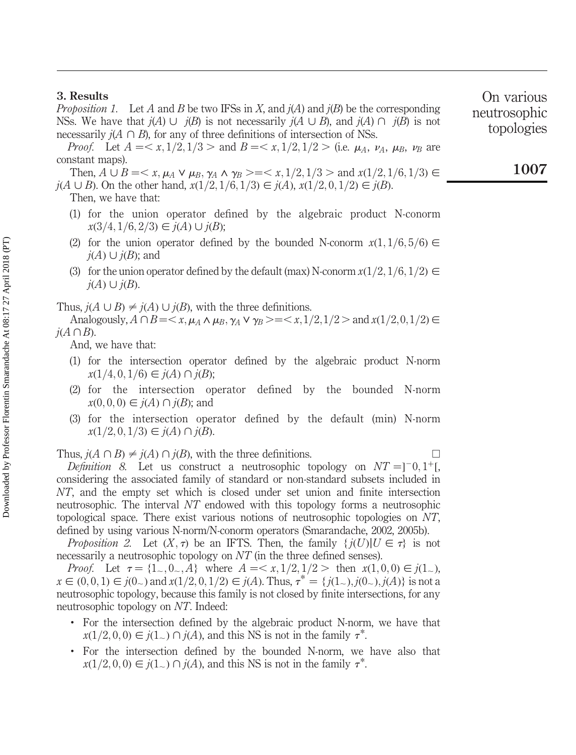#### 3. Results

*Proposition 1.* Let A and B be two IFSs in X, and  $j(A)$  and  $j(B)$  be the corresponding NSs. We have that  $j(A) \cup j(B)$  is not necessarily  $j(A \cup B)$ , and  $j(A) \cap j(B)$  is not necessarily  $i(A \cap B)$ , for any of three definitions of intersection of NSs.

*Proof.* Let  $A = \langle x, 1/2, 1/3 \rangle$  and  $B = \langle x, 1/2, 1/2 \rangle$  (i.e.  $\mu_A$ ,  $\nu_A$ ,  $\mu_B$ ,  $\nu_B$  are constant maps).

Then,  $A \cup B = \langle x, \mu_A \vee \mu_B, \gamma_A \wedge \gamma_B \rangle = \langle x, 1/2, 1/3 \rangle$  and  $x(1/2, 1/6, 1/3) \in$  $j(A \cup B)$ . On the other hand,  $x(1/2, 1/6, 1/3) \in j(A), x(1/2, 0, 1/2) \in j(B)$ .

- Then, we have that:
	- (1) for the union operator defined by the algebraic product N-conorm  $x(3/4, 1/6, 2/3) \in j(A) \cup j(B);$
	- (2) for the union operator defined by the bounded N-conorm  $x(1,1/6,5/6) \in$  $i(A) \cup i(B)$ ; and
- (3) for the union operator defined by the default (max) N-conorm  $x(1/2, 1/6, 1/2) \in$  $j(A)\cup j(B)$ .

Thus,  $j(A \cup B) \neq j(A) \cup j(B)$ , with the three definitions.

Analogously,  $A \cap B = \langle x, \mu_A \wedge \mu_B, \gamma_A \vee \gamma_B \rangle = \langle x, 1/2, 1/2 \rangle$  and  $x(1/2, 0, 1/2) \in$  $j(A \cap B)$ .

And, we have that:

- (1) for the intersection operator defined by the algebraic product N-norm  $x(1/4, 0, 1/6) \in j(A) \cap j(B);$
- (2) for the intersection operator defined by the bounded N-norm  $x(0, 0, 0) \in j(A) \cap j(B)$ ; and
- (3) for the intersection operator defined by the default (min) N-norm  $x(1/2, 0, 1/3) \in j(A) \cap j(B)$ .

Thus,  $j(A \cap B) \neq j(A) \cap j(B)$ , with the three definitions.

*Definition* 8. Let us construct a neutrosophic topology on  $NT = ]0,1]$ , considering the associated family of standard or non-standard subsets included in NT, and the empty set which is closed under set union and finite intersection neutrosophic. The interval NT endowed with this topology forms a neutrosophic topological space. There exist various notions of neutrosophic topologies on NT, defined by using various N-norm/N-conorm operators (Smarandache, 2002, 2005b).

*Proposition 2.* Let  $(X, \tau)$  be an IFTS. Then, the family  $\{j(U) | U \in \tau\}$  is not necessarily a neutrosophic topology on NT (in the three defined senses).

*Proof.* Let  $\tau = \{1, 0, 0, 0\}$  where  $A = \langle x, 1/2, 1/2 \rangle$  then  $x(1,0,0) \in j(1,1)$ ,  $x \in (0, 0, 1) \in j(0)$  and  $x(1/2, 0, 1/2) \in j(A)$ . Thus,  $\tau^* = \{ j(1)$ ,  $j(0)$ ,  $j(A) \}$  is not a neutrosophic topology, because this family is not closed by finite intersections, for any neutrosophic topology on NT. Indeed:

- . For the intersection defined by the algebraic product N-norm, we have that  $x(1/2, 0, 0) \in j(1) \cap j(A)$ , and this NS is not in the family  $\tau^*$ .
- . For the intersection defined by the bounded N-norm, we have also that  $x(1/2, 0, 0) \in j(1) \cap j(A)$ , and this NS is not in the family  $\tau^*$ .

On various neutrosophic topologies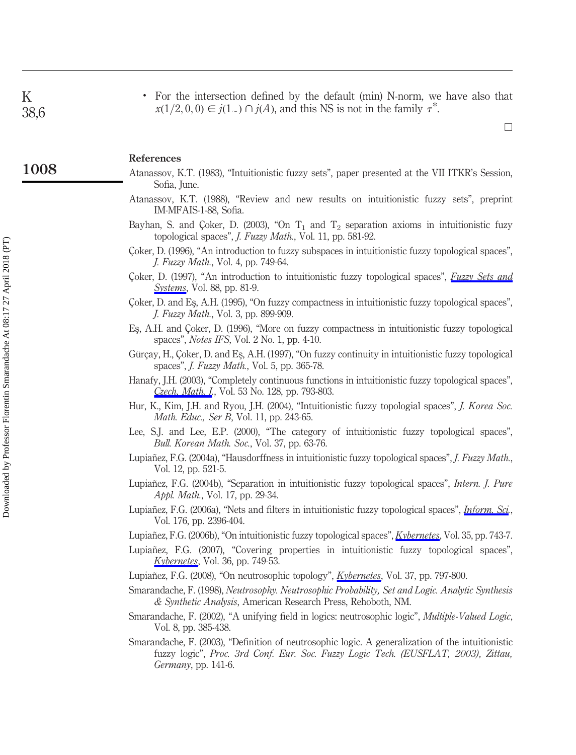K 38,6

1008

. For the intersection defined by the default (min) N-norm, we have also that  $x(1/2, 0, 0) \in i(1) \cap i(A)$ , and this NS is not in the family  $\tau^*$ .

 $\Box$ 

#### References

- Atanassov, K.T. (1983), "Intuitionistic fuzzy sets", paper presented at the VII ITKR's Session, Sofia, June.
- Atanassov, K.T. (1988), "Review and new results on intuitionistic fuzzy sets", preprint IM-MFAIS-1-88, Sofia.
- Bayhan, S. and Çoker, D. (2003), "On  $T_1$  and  $T_2$  separation axioms in intuitionistic fuzy topological spaces", J. Fuzzy Math., Vol. 11, pp. 581-92.
- Coker, D. (1996), "An introduction to fuzzy subspaces in intuitionistic fuzzy topological spaces", J. Fuzzy Math., Vol. 4, pp. 749-64.
- Coker, D. (1997), "An introduction to intuitionistic fuzzy topological spaces", *[Fuzzy Sets and](http://www.emeraldinsight.com/action/showLinks?crossref=10.1016%2FS0165-0114%2896%2900076-0&isi=A1997XB15000006)* **[Systems](http://www.emeraldinsight.com/action/showLinks?crossref=10.1016%2FS0165-0114%2896%2900076-0&isi=A1997XB15000006)**, Vol. 88, pp. 81-9.
- C¸oker, D. and Es¸, A.H. (1995), "On fuzzy compactness in intuitionistic fuzzy topological spaces", J. Fuzzy Math., Vol. 3, pp. 899-909.
- Es¸, A.H. and C¸oker, D. (1996), "More on fuzzy compactness in intuitionistic fuzzy topological spaces", Notes IFS, Vol. 2 No. 1, pp. 4-10.
- Gürcay, H., Coker, D. and Es, A.H. (1997), "On fuzzy continuity in intuitionistic fuzzy topological spaces", J. Fuzzy Math., Vol. 5, pp. 365-78.
- Hanafy, J.H. (2003), "Completely continuous functions in intuitionistic fuzzy topological spaces", Czech, Math. I., Vol. 53 No. 128, pp. 793-803.
- Hur, K., Kim, J.H. and Ryou, J.H. (2004), "Intuitionistic fuzzy topologial spaces", J. Korea Soc. Math. Educ., Ser B, Vol. 11, pp. 243-65.
- Lee, S.J. and Lee, E.P. (2000), "The category of intuitionistic fuzzy topological spaces", Bull. Korean Math. Soc., Vol. 37, pp. 63-76.
- Lupiañez, F.G. (2004a), "Hausdorffness in intuitionistic fuzzy topological spaces", *J. Fuzzy Math.*, Vol. 12, pp. 521-5.
- Lupiañez, F.G. (2004b), "Separation in intuitionistic fuzzy topological spaces", Intern. J. Pure Appl. Math., Vol. 17, pp. 29-34.
- Lupiañez, F.G. (2006a), "Nets and filters in intuitionistic fuzzy topological spaces", *[Inform. Sci](http://www.emeraldinsight.com/action/showLinks?crossref=10.1016%2Fj.ins.2005.05.003&isi=000239190900006).*, Vol. 176, pp. 2396-404.
- Lupian˜ez, F.G. (2006b), "On intuitionistic fuzzy topological spaces", [Kybernetes](http://www.emeraldinsight.com/action/showLinks?system=10.1108%2F03684920610662494&isi=000238997900012), Vol. 35, pp. 743-7.
- Lupian˜ez, F.G. (2007), "Covering properties in intuitionistic fuzzy topological spaces", *[Kybernetes](http://www.emeraldinsight.com/action/showLinks?system=10.1108%2F03684920710749811&isi=000247988900016)*, Vol. 36, pp. 749-53.
- Lupiañez, F.G. (2008), "On neutrosophic topology", *[Kybernetes](http://www.emeraldinsight.com/action/showLinks?system=10.1108%2F03684920810876990&isi=000257527800009)*, Vol. 37, pp. 797-800.
- Smarandache, F. (1998), Neutrosophy. Neutrosophic Probability, Set and Logic. Analytic Synthesis & Synthetic Analysis, American Research Press, Rehoboth, NM.
- Smarandache, F. (2002), "A unifying field in logics: neutrosophic logic", Multiple-Valued Logic, Vol. 8, pp. 385-438.
- Smarandache, F. (2003), "Definition of neutrosophic logic. A generalization of the intuitionistic fuzzy logic", Proc. 3rd Conf. Eur. Soc. Fuzzy Logic Tech. (EUSFLAT, 2003), Zittau, Germany, pp. 141-6.